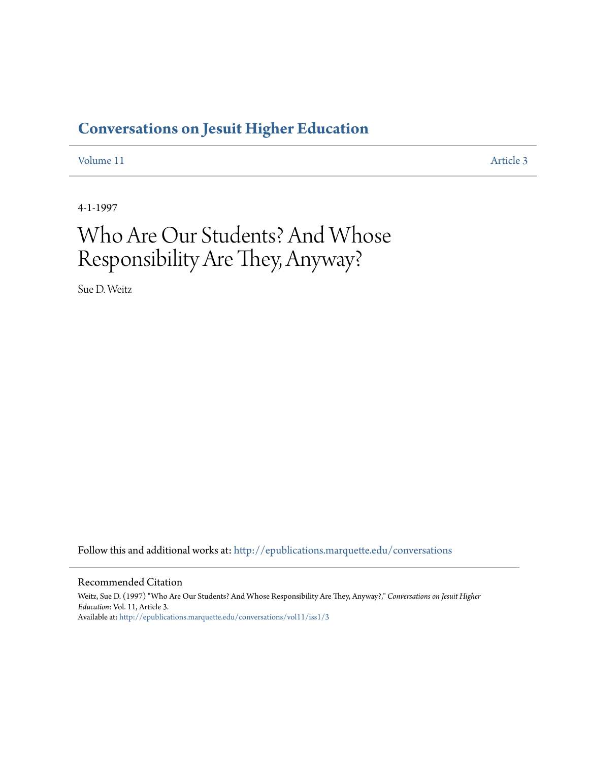## **[Conversations on Jesuit Higher Education](http://epublications.marquette.edu/conversations?utm_source=epublications.marquette.edu%2Fconversations%2Fvol11%2Fiss1%2F3&utm_medium=PDF&utm_campaign=PDFCoverPages)**

[Volume 11](http://epublications.marquette.edu/conversations/vol11?utm_source=epublications.marquette.edu%2Fconversations%2Fvol11%2Fiss1%2F3&utm_medium=PDF&utm_campaign=PDFCoverPages) [Article 3](http://epublications.marquette.edu/conversations/vol11/iss1/3?utm_source=epublications.marquette.edu%2Fconversations%2Fvol11%2Fiss1%2F3&utm_medium=PDF&utm_campaign=PDFCoverPages)

4-1-1997

## Who Are Our Students? And Whose Responsibility Are They, Anyway?

Sue D. Weitz

Follow this and additional works at: [http://epublications.marquette.edu/conversations](http://epublications.marquette.edu/conversations?utm_source=epublications.marquette.edu%2Fconversations%2Fvol11%2Fiss1%2F3&utm_medium=PDF&utm_campaign=PDFCoverPages)

#### Recommended Citation

Weitz, Sue D. (1997) "Who Are Our Students? And Whose Responsibility Are They, Anyway?," *Conversations on Jesuit Higher Education*: Vol. 11, Article 3. Available at: [http://epublications.marquette.edu/conversations/vol11/iss1/3](http://epublications.marquette.edu/conversations/vol11/iss1/3?utm_source=epublications.marquette.edu%2Fconversations%2Fvol11%2Fiss1%2F3&utm_medium=PDF&utm_campaign=PDFCoverPages)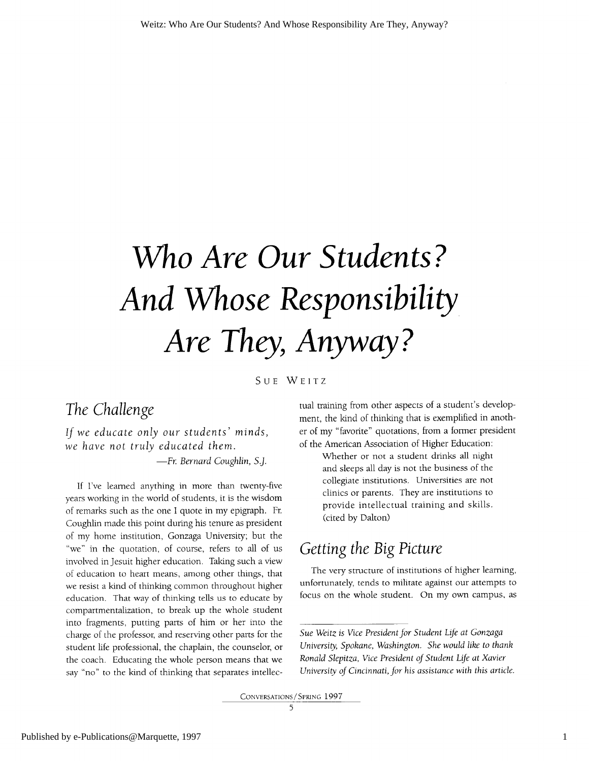# Who Are Our Students? And Whose Responsibility Are They, Anyway?

SUE WEITZ

## The Challenge

If we educate only our students' minds, we have not truly educated them.

-Fr. Bernard Coughlin, S.J.

If I've learned anything in more than twenty-five years working in the world of students, it is the wisdom of remarks such as the one I quote in my epigraph. Fr. Coughlin made this point during his tenure as president of my home institution, Gonzaga University; but the "we" in the quotation, of course, refers to all of us involved in Jesuit higher education. Taking such a view of education to heart means, among other things, that we resist a kind of thinking common throughout higher education. That way of thinking tells us to educate by compartmentalization, to break up the whole student into fragments, putting parts of him or her into the charge of the professor, and reserving other parts for the student life professional, the chaplain, the counselor, or the coach. Educating the whole person means that we say "no" to the kind of thinking that separates intellectual training from other aspects of a student's development, the kind of thinking that is exemplified in another of my "favorite" quotations, from a former president of the American Association of Higher Education:

> Whether or not a student drinks all night and sleeps all day is not the business of the collegiate institutions. Universities are not clinics or parents. They are institutions to provide intellectual training and skills. (cited by Dalton)

### *Getting the Big Picture*

The very structure of institutions of higher learning, unfortunately, tends to militate against our attempts to focus on the whole student. On my own campus, as

Sue Weitz is Vice President for Student Life at Gonzaga University, Spokane, Washington. She would like to thank Ronald Slepitza, Vice President of Student Life at Xavier University of Cincinnati, for his assistance with this article.

CONVERSATIONS / SPRING 1997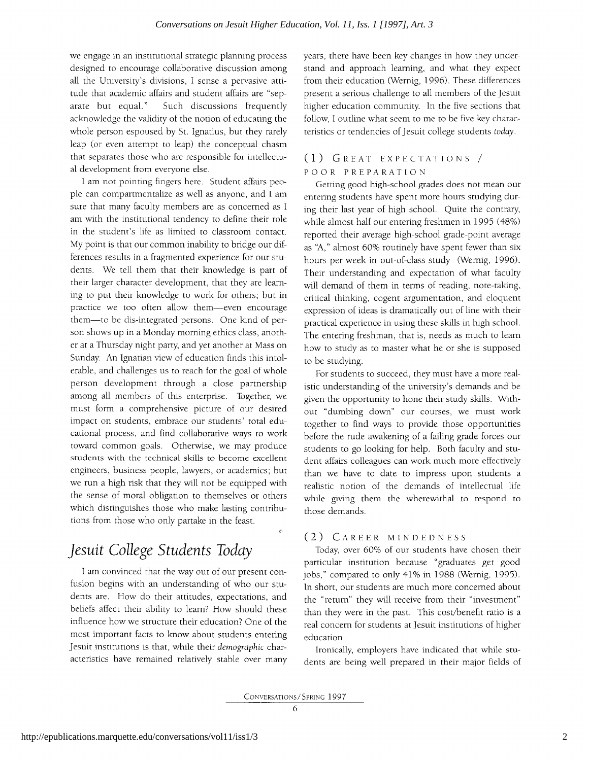we engage in an institutional strategic planning process designed to encourage collaborative discussion among all the University's divisions, I sense a pervasive attitude that academic affairs and student affairs are "sep-Such discussions frequently arate but equal." acknowledge the validity of the notion of educating the whole person espoused by St. Ignatius, but they rarely leap (or even attempt to leap) the conceptual chasm that separates those who are responsible for intellectual development from everyone else.

I am not pointing fingers here. Student affairs people can compartmentalize as well as anyone, and I am sure that many faculty members are as concerned as I am with the institutional tendency to define their role in the student's life as limited to classroom contact. My point is that our common inability to bridge our differences results in a fragmented experience for our students. We tell them that their knowledge is part of their larger character development, that they are learning to put their knowledge to work for others; but in practice we too often allow them-even encourage them—to be dis-integrated persons. One kind of person shows up in a Monday morning ethics class, another at a Thursday night party, and yet another at Mass on Sunday. An Ignatian view of education finds this intolerable, and challenges us to reach for the goal of whole person development through a close partnership among all members of this enterprise. Together, we must form a comprehensive picture of our desired impact on students, embrace our students' total educational process, and find collaborative ways to work toward common goals. Otherwise, we may produce students with the technical skills to become excellent engineers, business people, lawyers, or academics; but we run a high risk that they will not be equipped with the sense of moral obligation to themselves or others which distinguishes those who make lasting contributions from those who only partake in the feast.

## Jesuit College Students Today

I am convinced that the way out of our present confusion begins with an understanding of who our students are. How do their attitudes, expectations, and beliefs affect their ability to learn? How should these influence how we structure their education? One of the most important facts to know about students entering Jesuit institutions is that, while their demographic characteristics have remained relatively stable over many

years, there have been key changes in how they understand and approach learning, and what they expect from their education (Wernig, 1996). These differences present a serious challenge to all members of the Jesuit higher education community. In the five sections that follow, I outline what seem to me to be five key characteristics or tendencies of Jesuit college students today.

#### (1) GREAT EXPECTATIONS / POOR PREPARATION

Getting good high-school grades does not mean our entering students have spent more hours studying during their last year of high school. Quite the contrary, while almost half our entering freshmen in 1995 (48%) reported their average high-school grade-point average as "A," almost 60% routinely have spent fewer than six hours per week in out-of-class study (Wernig, 1996). Their understanding and expectation of what faculty will demand of them in terms of reading, note-taking, critical thinking, cogent argumentation, and eloquent expression of ideas is dramatically out of line with their practical experience in using these skills in high school. The entering freshman, that is, needs as much to learn how to study as to master what he or she is supposed to be studying.

For students to succeed, they must have a more realistic understanding of the university's demands and be given the opportunity to hone their study skills. Without "dumbing down" our courses, we must work together to find ways to provide those opportunities before the rude awakening of a failing grade forces our students to go looking for help. Both faculty and student affairs colleagues can work much more effectively than we have to date to impress upon students a realistic notion of the demands of intellectual life while giving them the wherewithal to respond to those demands.

#### (2) CAREER MINDEDNESS

Today, over 60% of our students have chosen their particular institution because "graduates get good jobs," compared to only 41% in 1988 (Wernig, 1995). In short, our students are much more concerned about the "return" they will receive from their "investment" than they were in the past. This cost/benefit ratio is a real concern for students at Jesuit institutions of higher education.

Ironically, employers have indicated that while students are being well prepared in their major fields of

 $\hat{G}$ 

CONVERSATIONS / SPRING 1997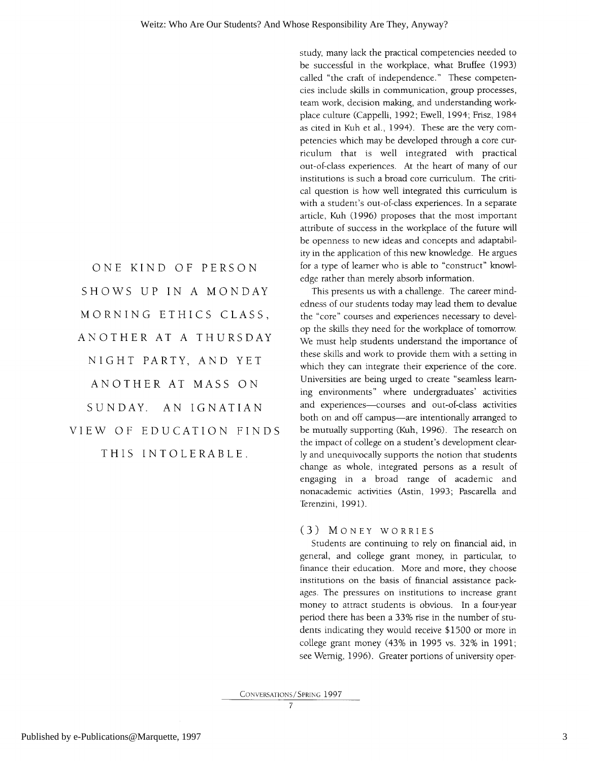ONE KIND OF PERSON SHOWS UP IN A MONDAY MORNING ETHICS CLASS, ANOTHER AT A THURSDAY NIGHT PARTY, AND YET ANOTHER AT MASS ON SUNDAY. AN IGNATIAN VIEW OF EDUCATION FINDS THIS INTOLERABLE.

study, many lack the practical competencies needed to be successful in the workplace, what Bruffee (1993) called "the craft of independence." These competencies include skills in communication, group processes, team work, decision making, and understanding workplace culture (Cappelli, 1992; Ewell, 1994; Frisz, 1984 as cited in Kuh et al., 1994). These are the very competencies which may be developed through a core curriculum that is well integrated with practical out-of-class experiences. At the heart of many of our institutions is such a broad core curriculum. The critical question is how well integrated this curriculum is with a student's out-of-class experiences. In a separate article, Kuh (1996) proposes that the most important attribute of success in the workplace of the future will be openness to new ideas and concepts and adaptability in the application of this new knowledge. He argues for a type of learner who is able to "construct" knowledge rather than merely absorb information.

This presents us with a challenge. The career mindedness of our students today may lead them to devalue the "core" courses and experiences necessary to develop the skills they need for the workplace of tomorrow. We must help students understand the importance of these skills and work to provide them with a setting in which they can integrate their experience of the core. Universities are being urged to create "seamless learning environments" where undergraduates' activities and experiences-courses and out-of-class activities both on and off campus-are intentionally arranged to be mutually supporting (Kuh, 1996). The research on the impact of college on a student's development clearly and unequivocally supports the notion that students change as whole, integrated persons as a result of engaging in a broad range of academic and nonacademic activities (Astin, 1993; Pascarella and Terenzini, 1991).

#### (3) MONEY WORRIES

Students are continuing to rely on financial aid, in general, and college grant money, in particular, to finance their education. More and more, they choose institutions on the basis of financial assistance packages. The pressures on institutions to increase grant money to attract students is obvious. In a four-year period there has been a 33% rise in the number of students indicating they would receive \$1500 or more in college grant money (43% in 1995 vs. 32% in 1991; see Wernig, 1996). Greater portions of university oper-

CONVERSATIONS / SPRING 1997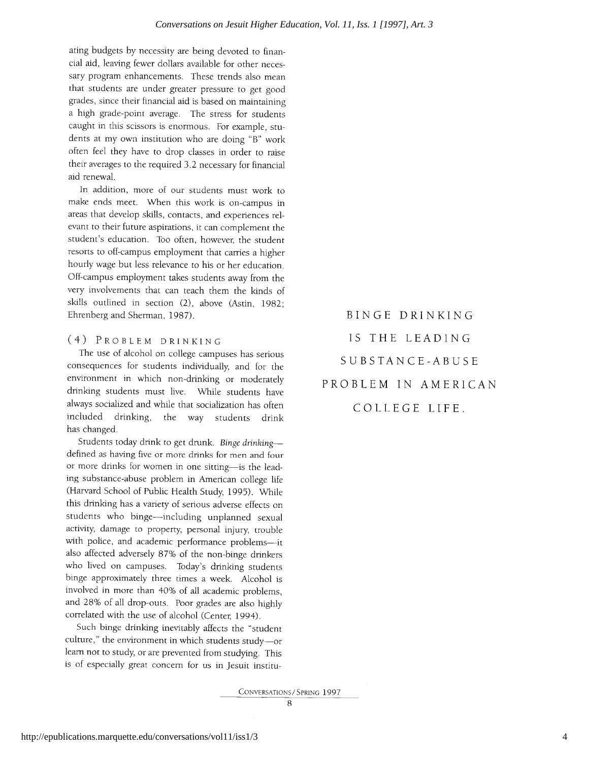ating budgets by necessity are being devoted to financial aid, leaving fewer dollars available for other necessary program enhancements. These trends also mean that students are under greater pressure to get good grades, since their financial aid is based on maintaining a high grade-point average. The stress for students caught in this scissors is enormous. For example, students at my own institution who are doing "B" work often feel they have to drop classes in order to raise their averages to the required 3.2 necessary for financial aid renewal.

In addition, more of our students must work to make ends meet. When this work is on-campus in areas that develop skills, contacts, and experiences relevant to their future aspirations, it can complement the student's education. Too often, however, the student resorts to off-campus employment that carries a higher hourly wage but less relevance to his or her education. Off-campus employment takes students away from the very involvements that can teach them the kinds of skills outlined in section (2), above (Astin, 1982; Ehrenberg and Sherman, 1987).

#### (4) PROBLEM DRINKING

The use of alcohol on college campuses has serious consequences for students individually, and for the environment in which non-drinking or moderately drinking students must live. While students have always socialized and while that socialization has often included drinking, the way students drink has changed.

Students today drink to get drunk. Binge drinkingdefined as having five or more drinks for men and four or more drinks for women in one sitting-is the leading substance-abuse problem in American college life (Harvard School of Public Health Study, 1995). While this drinking has a variety of serious adverse effects on students who binge-including unplanned sexual activity, damage to property, personal injury, trouble with police, and academic performance problems-it also affected adversely 87% of the non-binge drinkers who lived on campuses. Today's drinking students binge approximately three times a week. Alcohol is involved in more than 40% of all academic problems, and 28% of all drop-outs. Poor grades are also highly correlated with the use of alcohol (Center, 1994).

Such binge drinking inevitably affects the "student culture," the environment in which students study-or learn not to study, or are prevented from studying. This is of especially great concern for us in Jesuit institu-

BINGE DRINKING IS THE LEADING SUBSTANCE-ABUSE PROBLEM IN AMERICAN

COLLEGE LIFE.

CONVERSATIONS/SPRING 1997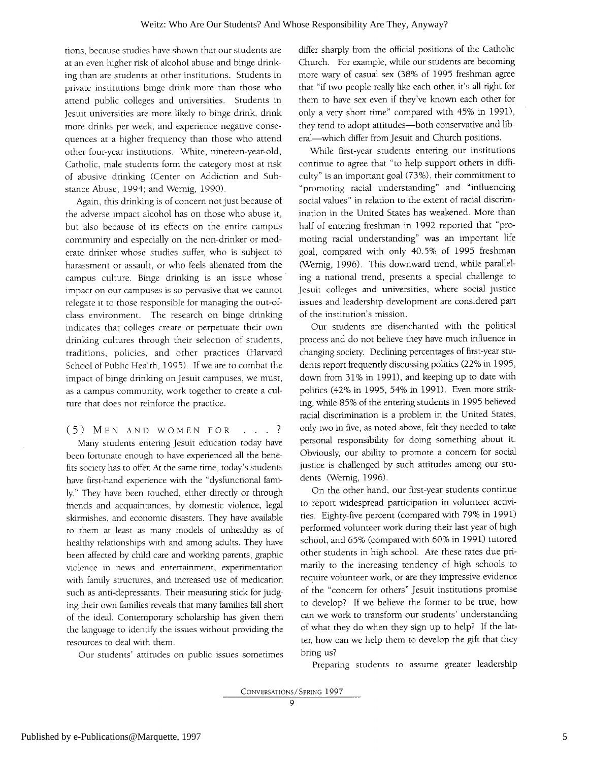tions, because studies have shown that our students are at an even higher risk of alcohol abuse and binge drinking than are students at other institutions. Students in private institutions binge drink more than those who attend public colleges and universities. Students in Jesuit universities are more likely to binge drink, drink more drinks per week, and experience negative consequences at a higher frequency than those who attend other four-year institutions. White, nineteen-year-old, Catholic, male students form the category most at risk of abusive drinking (Center on Addiction and Substance Abuse, 1994; and Wernig, 1990).

Again, this drinking is of concern not just because of the adverse impact alcohol has on those who abuse it, but also because of its effects on the entire campus community and especially on the non-drinker or moderate drinker whose studies suffer, who is subject to harassment or assault, or who feels alienated from the campus culture. Binge drinking is an issue whose impact on our campuses is so pervasive that we cannot relegate it to those responsible for managing the out-ofclass environment. The research on binge drinking indicates that colleges create or perpetuate their own drinking cultures through their selection of students, traditions, policies, and other practices (Harvard School of Public Health, 1995). If we are to combat the impact of binge drinking on Jesuit campuses, we must, as a campus community, work together to create a culture that does not reinforce the practice.

(5) MEN AND WOMEN FOR . . . ? Many students entering Jesuit education today have been fortunate enough to have experienced all the benefits society has to offer. At the same time, today's students have first-hand experience with the "dysfunctional family." They have been touched, either directly or through friends and acquaintances, by domestic violence, legal skirmishes, and economic disasters. They have available to them at least as many models of unhealthy as of healthy relationships with and among adults. They have been affected by child care and working parents, graphic violence in news and entertainment, experimentation with family structures, and increased use of medication such as anti-depressants. Their measuring stick for judging their own families reveals that many families fall short of the ideal. Contemporary scholarship has given them the language to identify the issues without providing the resources to deal with them.

Our students' attitudes on public issues sometimes

differ sharply from the official positions of the Catholic Church. For example, while our students are becoming more wary of casual sex (38% of 1995 freshman agree that "if two people really like each other, it's all right for them to have sex even if they've known each other for only a very short time" compared with 45% in 1991), they tend to adopt attitudes-both conservative and liberal-which differ from Jesuit and Church positions.

While first-year students entering our institutions continue to agree that "to help support others in difficulty" is an important goal (73%), their commitment to "promoting racial understanding" and "influencing social values" in relation to the extent of racial discrimination in the United States has weakened. More than half of entering freshman in 1992 reported that "promoting racial understanding" was an important life goal, compared with only 40.5% of 1995 freshman (Wernig, 1996). This downward trend, while paralleling a national trend, presents a special challenge to Jesuit colleges and universities, where social justice issues and leadership development are considered part of the institution's mission.

Our students are disenchanted with the political process and do not believe they have much influence in changing society. Declining percentages of first-year students report frequently discussing politics (22% in 1995, down from 31% in 1991), and keeping up to date with politics (42% in 1995, 54% in 1991). Even more striking, while 85% of the entering students in 1995 believed racial discrimination is a problem in the United States, only two in five, as noted above, felt they needed to take personal responsibility for doing something about it. Obviously, our ability to promote a concern for social justice is challenged by such attitudes among our students (Wernig, 1996).

On the other hand, our first-year students continue to report widespread participation in volunteer activities. Eighty-five percent (compared with 79% in 1991) performed volunteer work during their last year of high school, and 65% (compared with 60% in 1991) tutored other students in high school. Are these rates due primarily to the increasing tendency of high schools to require volunteer work, or are they impressive evidence of the "concern for others" Jesuit institutions promise to develop? If we believe the former to be true, how can we work to transform our students' understanding of what they do when they sign up to help? If the latter, how can we help them to develop the gift that they bring us?

Preparing students to assume greater leadership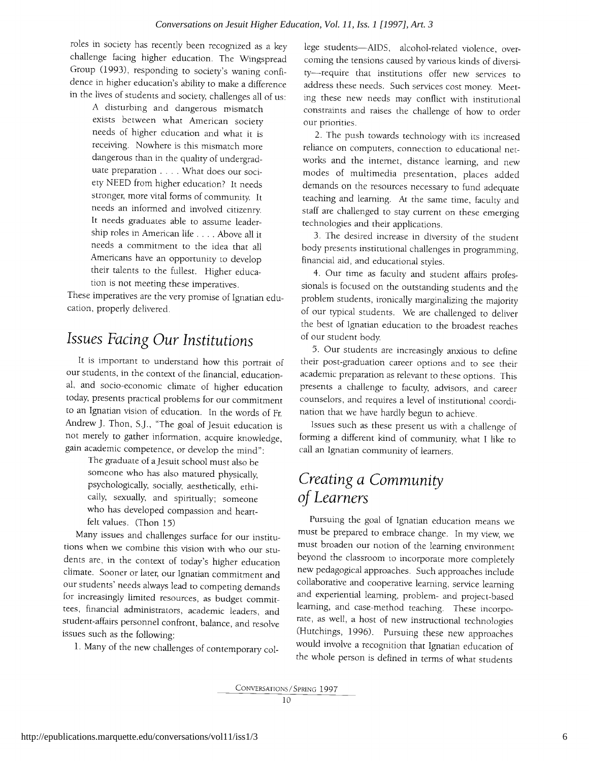roles in society has recently been recognized as a key challenge facing higher education. The Wingspread Group (1993), responding to society's waning confidence in higher education's ability to make a difference in the lives of students and society, challenges all of us:

A disturbing and dangerous mismatch exists between what American society needs of higher education and what it is receiving. Nowhere is this mismatch more dangerous than in the quality of undergraduate preparation . . . . What does our society NEED from higher education? It needs stronger, more vital forms of community. It needs an informed and involved citizenry. It needs graduates able to assume leadership roles in American life . . . . Above all it needs a commitment to the idea that all Americans have an opportunity to develop their talents to the fullest. Higher education is not meeting these imperatives.

These imperatives are the very promise of Ignatian education, properly delivered.

## Issues Facing Our Institutions

It is important to understand how this portrait of our students, in the context of the financial, educational, and socio-economic climate of higher education today, presents practical problems for our commitment to an Ignatian vision of education. In the words of Fr. Andrew J. Thon, S.J., "The goal of Jesuit education is not merely to gather information, acquire knowledge, gain academic competence, or develop the mind":

The graduate of a Jesuit school must also be someone who has also matured physically, psychologically, socially, aesthetically, ethically, sexually, and spiritually; someone who has developed compassion and heartfelt values. (Thon 15)

Many issues and challenges surface for our institutions when we combine this vision with who our students are, in the context of today's higher education climate. Sooner or later, our Ignatian commitment and our students' needs always lead to competing demands for increasingly limited resources, as budget committees, financial administrators, academic leaders, and student-affairs personnel confront, balance, and resolve issues such as the following:

1. Many of the new challenges of contemporary col-

lege students-AIDS, alcohol-related violence, overcoming the tensions caused by various kinds of diversity-require that institutions offer new services to address these needs. Such services cost money. Meeting these new needs may conflict with institutional constraints and raises the challenge of how to order our priorities.

2. The push towards technology with its increased reliance on computers, connection to educational networks and the internet, distance learning, and new modes of multimedia presentation, places added demands on the resources necessary to fund adequate teaching and learning. At the same time, faculty and staff are challenged to stay current on these emerging technologies and their applications.

3. The desired increase in diversity of the student body presents institutional challenges in programming, financial aid, and educational styles.

4. Our time as faculty and student affairs professionals is focused on the outstanding students and the problem students, ironically marginalizing the majority of our typical students. We are challenged to deliver the best of Ignatian education to the broadest reaches of our student body.

5. Our students are increasingly anxious to define their post-graduation career options and to see their academic preparation as relevant to these options. This presents a challenge to faculty, advisors, and career counselors, and requires a level of institutional coordination that we have hardly begun to achieve.

Issues such as these present us with a challenge of forming a different kind of community, what I like to call an Ignatian community of learners.

## Creating a Community of Learners

Pursuing the goal of Ignatian education means we must be prepared to embrace change. In my view, we must broaden our notion of the learning environment beyond the classroom to incorporate more completely new pedagogical approaches. Such approaches include collaborative and cooperative learning, service learning and experiential learning, problem- and project-based learning, and case-method teaching. These incorporate, as well, a host of new instructional technologies (Hutchings, 1996). Pursuing these new approaches would involve a recognition that Ignatian education of the whole person is defined in terms of what students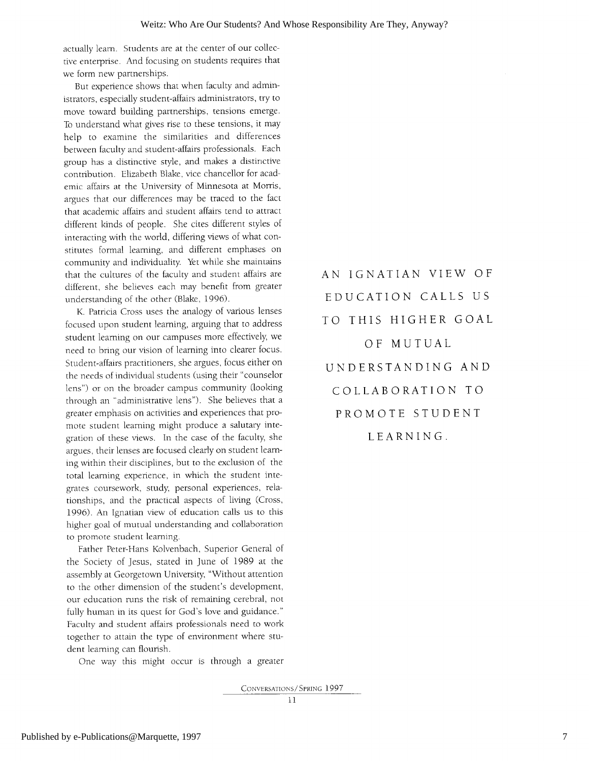actually learn. Students are at the center of our collective enterprise. And focusing on students requires that we form new partnerships.

But experience shows that when faculty and administrators, especially student-affairs administrators, try to move toward building partnerships, tensions emerge. To understand what gives rise to these tensions, it may help to examine the similarities and differences between faculty and student-affairs professionals. Each group has a distinctive style, and makes a distinctive contribution. Elizabeth Blake, vice chancellor for academic affairs at the University of Minnesota at Morris, argues that our differences may be traced to the fact that academic affairs and student affairs tend to attract different kinds of people. She cites different styles of interacting with the world, differing views of what constitutes formal learning, and different emphases on community and individuality. Yet while she maintains that the cultures of the faculty and student affairs are different, she believes each may benefit from greater understanding of the other (Blake, 1996).

K. Patricia Cross uses the analogy of various lenses focused upon student learning, arguing that to address student learning on our campuses more effectively, we need to bring our vision of learning into clearer focus. Student-affairs practitioners, she argues, focus either on the needs of individual students (using their "counselor lens") or on the broader campus community (looking through an "administrative lens"). She believes that a greater emphasis on activities and experiences that promote student learning might produce a salutary integration of these views. In the case of the faculty, she argues, their lenses are focused clearly on student learning within their disciplines, but to the exclusion of the total learning experience, in which the student integrates coursework, study, personal experiences, relationships, and the practical aspects of living (Cross, 1996). An Ignatian view of education calls us to this higher goal of mutual understanding and collaboration to promote student learning.

Father Peter-Hans Kolvenbach, Superior General of the Society of Jesus, stated in June of 1989 at the assembly at Georgetown University, "Without attention to the other dimension of the student's development, our education runs the risk of remaining cerebral, not fully human in its quest for God's love and guidance." Faculty and student affairs professionals need to work together to attain the type of environment where student learning can flourish.

One way this might occur is through a greater

EDUCATION CALLS US TO THIS HIGHER GOAL OF MUTUAL UNDERSTANDING AND COLLABORATION TO PROMOTE STUDENT LEARNING.

AN IGNATIAN VIEW OF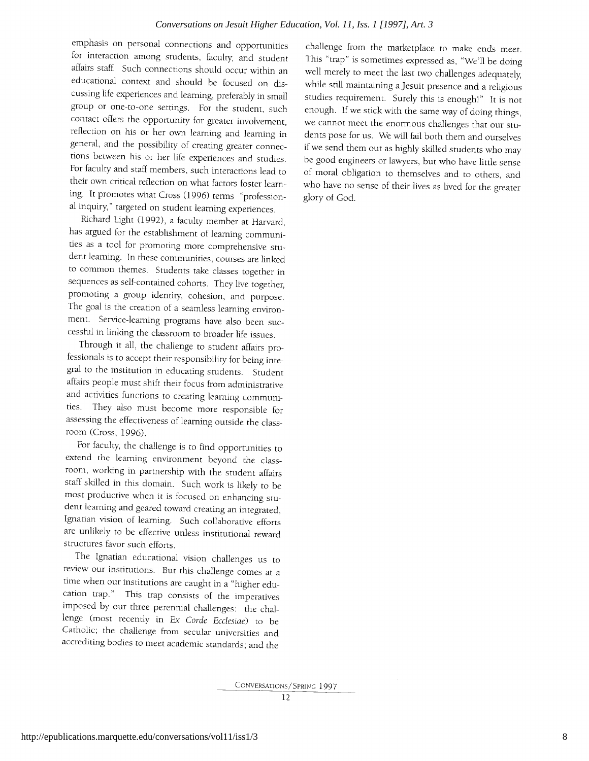emphasis on personal connections and opportunities for interaction among students, faculty, and student affairs staff. Such connections should occur within an educational context and should be focused on discussing life experiences and learning, preferably in small group or one-to-one settings. For the student, such contact offers the opportunity for greater involvement, reflection on his or her own learning and learning in general, and the possibility of creating greater connections between his or her life experiences and studies. For faculty and staff members, such interactions lead to their own critical reflection on what factors foster learning. It promotes what Cross (1996) terms "professional inquiry," targeted on student learning experiences.

Richard Light (1992), a faculty member at Harvard, has argued for the establishment of learning communities as a tool for promoting more comprehensive student learning. In these communities, courses are linked to common themes. Students take classes together in sequences as self-contained cohorts. They live together, promoting a group identity, cohesion, and purpose. The goal is the creation of a seamless learning environment. Service-learning programs have also been successful in linking the classroom to broader life issues.

Through it all, the challenge to student affairs professionals is to accept their responsibility for being integral to the institution in educating students. Student affairs people must shift their focus from administrative and activities functions to creating learning communities. They also must become more responsible for assessing the effectiveness of learning outside the classroom (Cross, 1996).

For faculty, the challenge is to find opportunities to extend the learning environment beyond the classroom, working in partnership with the student affairs staff skilled in this domain. Such work is likely to be most productive when it is focused on enhancing student learning and geared toward creating an integrated, Ignatian vision of learning. Such collaborative efforts are unlikely to be effective unless institutional reward structures favor such efforts.

The Ignatian educational vision challenges us to review our institutions. But this challenge comes at a time when our institutions are caught in a "higher education trap." This trap consists of the imperatives imposed by our three perennial challenges: the challenge (most recently in Ex Corde Ecclesiae) to be Catholic; the challenge from secular universities and accrediting bodies to meet academic standards; and the

challenge from the marketplace to make ends meet. This "trap" is sometimes expressed as, "We'll be doing well merely to meet the last two challenges adequately, while still maintaining a Jesuit presence and a religious studies requirement. Surely this is enough!" It is not enough. If we stick with the same way of doing things, we cannot meet the enormous challenges that our students pose for us. We will fail both them and ourselves if we send them out as highly skilled students who may be good engineers or lawyers, but who have little sense of moral obligation to themselves and to others, and who have no sense of their lives as lived for the greater glory of God.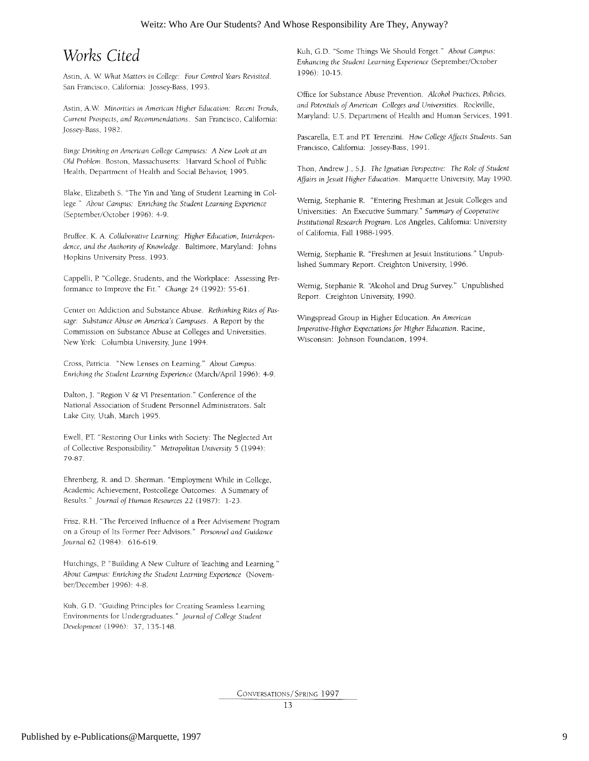## Works Cited

Astin, A. W. What Matters in College: Four Control Years Revisited. San Francisco, California: Jossey-Bass, 1993.

Astin, A.W. Minorities in American Higher Education: Recent Trends, Current Prospects, and Recommendations. San Francisco, California: Jossey-Bass, 1982.

Binge Drinking on American College Campuses: A New Look at an Old Problem. Boston, Massachusetts: Harvard School of Public Health, Department of Health and Social Behavior, 1995.

Blake, Elizabeth S. "The Yin and Yang of Student Learning in College." About Campus: Enriching the Student Learning Experience (September/October 1996): 4-9.

Bruffee, K. A. Collaborative Learning: Higher Education, Interdependence, and the Authority of Knowledge. Baltimore, Maryland: Johns Hopkins University Press, 1993.

Cappelli, P. "College, Students, and the Workplace: Assessing Performance to Improve the Fit." Change 24 (1992): 55-61.

Center on Addiction and Substance Abuse. Rethinking Rites of Passage: Substance Abuse on America's Campuses. A Report by the Commission on Substance Abuse at Colleges and Universities. New York: Columbia University, June 1994.

Cross, Patricia. "New Lenses on Learning." About Campus: Enriching the Student Learning Experience (March/April 1996): 4-9.

Dalton, J. "Region V & VI Presentation." Conference of the National Association of Student Personnel Administrators. Salt Lake City, Utah, March 1995.

Ewell, P.T. "Restoring Our Links with Society: The Neglected Art of Collective Responsibility." Metropolitan University 5 (1994): 79-87

Ehrenberg, R. and D. Sherman. "Employment While in College, Academic Achievement, Postcollege Outcomes: A Summary of Results." Journal of Human Resources 22 (1987): 1-23.

Frisz, R.H. "The Perceived Influence of a Peer Advisement Program on a Group of Its Former Peer Advisors." Personnel and Guidance Journal 62 (1984): 616-619.

Hutchings, P. "Building A New Culture of Teaching and Learning." About Campus: Enriching the Student Learning Experience (November/December 1996): 4-8.

Kuh, G.D. "Guiding Principles for Creating Seamless Learning Environments for Undergraduates." Journal of College Student Development (1996): 37, 135-148.

Kuh, G.D. "Some Things We Should Forget." About Campus: Enhancing the Student Learning Experience (September/October 1996): 10-15.

Office for Substance Abuse Prevention. Alcohol Practices, Policies, and Potentials of American Colleges and Universities. Rockville, Maryland: U.S. Department of Health and Human Services, 1991.

Pascarella, E.T. and P.T. Terenzini. How College Affects Students. San Francisco, California: Jossey-Bass, 1991.

Thon, Andrew J., S.J. The Ignatian Perspective: The Role of Student Affairs in Jesuit Higher Education. Marquette University, May 1990.

Wernig, Stephanie R. "Entering Freshman at Jesuit Colleges and Universities: An Executive Summary." Summary of Cooperative Institutional Research Program. Los Angeles, California: University of California, Fall 1988-1995.

Wernig, Stephanie R. "Freshmen at Jesuit Institutions." Unpublished Summary Report. Creighton University, 1996.

Wernig, Stephanie R. "Alcohol and Drug Survey." Unpublished Report. Creighton University, 1990.

Wingspread Group in Higher Education. An American Imperative-Higher Expectations for Higher Education. Racine, Wisconsin: Johnson Foundation, 1994.

CONVERSATIONS / SPRING 1997